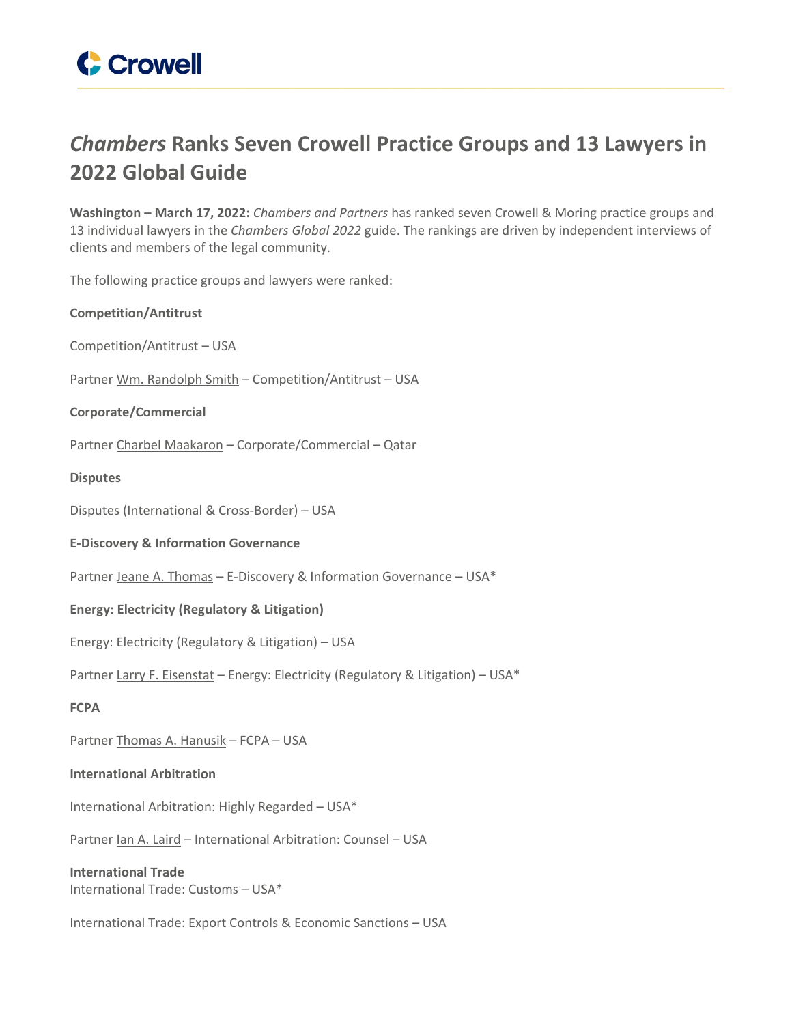

## *Chambers* **Ranks Seven Crowell Practice Groups and 13 Lawyers in 2022 Global Guide**

**Washington – March 17, 2022:** *Chambers and Partners* has ranked seven Crowell & Moring practice groups and 13 individual lawyers in the *Chambers Global 2022* guide. The rankings are driven by independent interviews of clients and members of the legal community.

The following practice groups and lawyers were ranked:

**Competition/Antitrust** Competition/Antitrust – USA Partner Wm. [Randolph](https://www.crowell.com/professionals/Wm-Randolph-Smith) Smith - Competition/Antitrust - USA **Corporate/Commercial** Partner Charbel [Maakaron](https://www.crowell.com/professionals/Charbel-M-Maakaron) – Corporate/Commercial – Qatar **Disputes** Disputes (International & Cross-Border) – USA **E-Discovery & Information Governance** Partner Jeane A. [Thomas](https://www.crowell.com/Professionals/Jeane-Thomas) – E-Discovery & Information Governance – USA\* **Energy: Electricity (Regulatory & Litigation)** Energy: Electricity (Regulatory & Litigation) – USA Partner Larry F. [Eisenstat](https://www.crowell.com/professionals/larry-eisenstat) - Energy: Electricity (Regulatory & Litigation) - USA\* **FCPA** Partner Thomas A. [Hanusik](https://www.crowell.com/Professionals/Thomas-Hanusik) – FCPA – USA **International Arbitration** International Arbitration: Highly Regarded – USA\* Partner Ian A. [Laird](https://www.crowell.com/Professionals/Ian-Laird) – International Arbitration: Counsel – USA **International Trade** International Trade: Customs – USA\*

International Trade: Export Controls & Economic Sanctions – USA